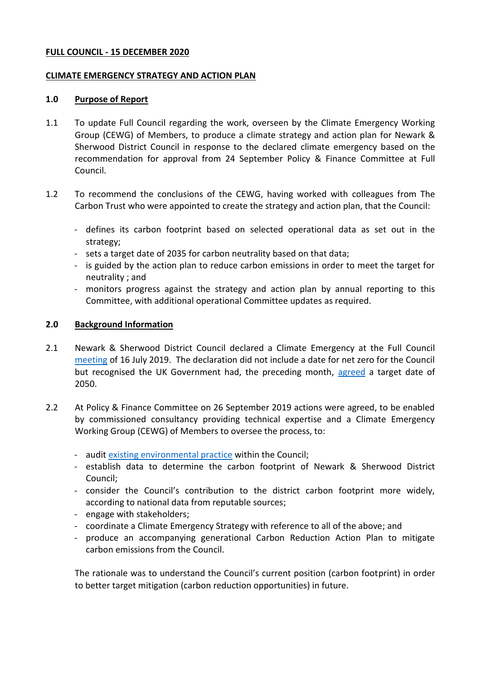### **FULL COUNCIL - 15 DECEMBER 2020**

### **CLIMATE EMERGENCY STRATEGY AND ACTION PLAN**

### **1.0 Purpose of Report**

- 1.1 To update Full Council regarding the work, overseen by the Climate Emergency Working Group (CEWG) of Members, to produce a climate strategy and action plan for Newark & Sherwood District Council in response to the declared climate emergency based on the recommendation for approval from 24 September Policy & Finance Committee at Full Council.
- 1.2 To recommend the conclusions of the CEWG, having worked with colleagues from The Carbon Trust who were appointed to create the strategy and action plan, that the Council:
	- defines its carbon footprint based on selected operational data as set out in the strategy;
	- sets a target date of 2035 for carbon neutrality based on that data;
	- is guided by the action plan to reduce carbon emissions in order to meet the target for neutrality ; and
	- monitors progress against the strategy and action plan by annual reporting to this Committee, with additional operational Committee updates as required.

## **2.0 Background Information**

- 2.1 Newark & Sherwood District Council declared a Climate Emergency at the Full Council [meeting](https://democracy.newark-sherwooddc.gov.uk/ieListDocuments.aspx?CId=139&MId=311&Ver=4) of 16 July 2019. The declaration did not include a date for net zero for the Council but recognised the UK Government had, the preceding month, [agreed](https://www.gov.uk/government/news/uk-becomes-first-major-economy-to-pass-net-zero-emissions-law) a target date of 2050.
- 2.2 At Policy & Finance Committee on 26 September 2019 actions were agreed, to be enabled by commissioned consultancy providing technical expertise and a Climate Emergency Working Group (CEWG) of Members to oversee the process, to:
	- audit [existing environmental practice](https://democracy.newark-sherwooddc.gov.uk/documents/s6038/26.09.19%20-%20Climate%20Emergency%20-%20Appendix%201%20-%20An%20initial%20collation%20of%20environmental%20practice.pdf) within the Council;
	- establish data to determine the carbon footprint of Newark & Sherwood District Council;
	- consider the Council's contribution to the district carbon footprint more widely, according to national data from reputable sources;
	- engage with stakeholders;
	- coordinate a Climate Emergency Strategy with reference to all of the above; and
	- produce an accompanying generational Carbon Reduction Action Plan to mitigate carbon emissions from the Council.

The rationale was to understand the Council's current position (carbon footprint) in order to better target mitigation (carbon reduction opportunities) in future.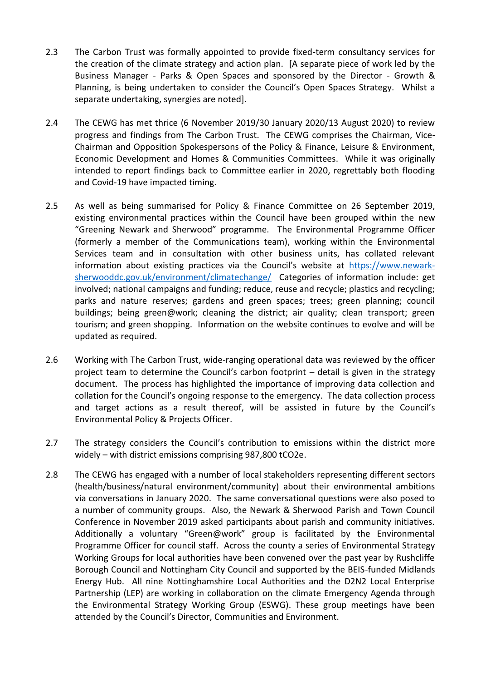- 2.3 The Carbon Trust was formally appointed to provide fixed-term consultancy services for the creation of the climate strategy and action plan. [A separate piece of work led by the Business Manager - Parks & Open Spaces and sponsored by the Director - Growth & Planning, is being undertaken to consider the Council's Open Spaces Strategy. Whilst a separate undertaking, synergies are noted].
- 2.4 The CEWG has met thrice (6 November 2019/30 January 2020/13 August 2020) to review progress and findings from The Carbon Trust. The CEWG comprises the Chairman, Vice-Chairman and Opposition Spokespersons of the Policy & Finance, Leisure & Environment, Economic Development and Homes & Communities Committees. While it was originally intended to report findings back to Committee earlier in 2020, regrettably both flooding and Covid-19 have impacted timing.
- 2.5 As well as being summarised for Policy & Finance Committee on 26 September 2019, existing environmental practices within the Council have been grouped within the new "Greening Newark and Sherwood" programme. The Environmental Programme Officer (formerly a member of the Communications team), working within the Environmental Services team and in consultation with other business units, has collated relevant information about existing practices via the Council's website at [https://www.newark](https://www.newark-sherwooddc.gov.uk/environment/climatechange/)[sherwooddc.gov.uk/environment/climatechange/](https://www.newark-sherwooddc.gov.uk/environment/climatechange/) Categories of information include: get involved; national campaigns and funding; reduce, reuse and recycle; plastics and recycling; parks and nature reserves; gardens and green spaces; trees; green planning; council buildings; being green@work; cleaning the district; air quality; clean transport; green tourism; and green shopping. Information on the website continues to evolve and will be updated as required.
- 2.6 Working with The Carbon Trust, wide-ranging operational data was reviewed by the officer project team to determine the Council's carbon footprint – detail is given in the strategy document. The process has highlighted the importance of improving data collection and collation for the Council's ongoing response to the emergency. The data collection process and target actions as a result thereof, will be assisted in future by the Council's Environmental Policy & Projects Officer.
- 2.7 The strategy considers the Council's contribution to emissions within the district more widely – with district emissions comprising 987,800 tCO2e.
- 2.8 The CEWG has engaged with a number of local stakeholders representing different sectors (health/business/natural environment/community) about their environmental ambitions via conversations in January 2020. The same conversational questions were also posed to a number of community groups. Also, the Newark & Sherwood Parish and Town Council Conference in November 2019 asked participants about parish and community initiatives. Additionally a voluntary "Green@work" group is facilitated by the Environmental Programme Officer for council staff. Across the county a series of Environmental Strategy Working Groups for local authorities have been convened over the past year by Rushcliffe Borough Council and Nottingham City Council and supported by the BEIS-funded Midlands Energy Hub. All nine Nottinghamshire Local Authorities and the D2N2 Local Enterprise Partnership (LEP) are working in collaboration on the climate Emergency Agenda through the Environmental Strategy Working Group (ESWG). These group meetings have been attended by the Council's Director, Communities and Environment.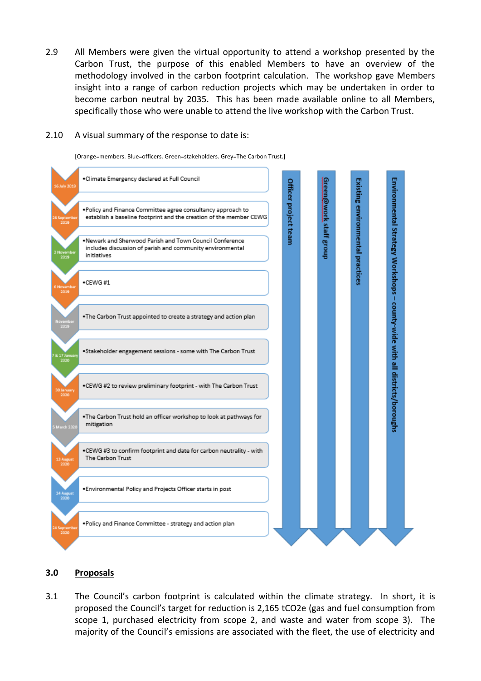2.9 All Members were given the virtual opportunity to attend a workshop presented by the Carbon Trust, the purpose of this enabled Members to have an overview of the methodology involved in the carbon footprint calculation. The workshop gave Members insight into a range of carbon reduction projects which may be undertaken in order to become carbon neutral by 2035. This has been made available online to all Members, specifically those who were unable to attend the live workshop with the Carbon Trust.

### 2.10 A visual summary of the response to date is:

[Orange=members. Blue=officers. Green=stakeholders. Grey=The Carbon Trust.]



## **3.0 Proposals**

3.1 The Council's carbon footprint is calculated within the climate strategy. In short, it is proposed the Council's target for reduction is 2,165 tCO2e (gas and fuel consumption from scope 1, purchased electricity from scope 2, and waste and water from scope 3). The majority of the Council's emissions are associated with the fleet, the use of electricity and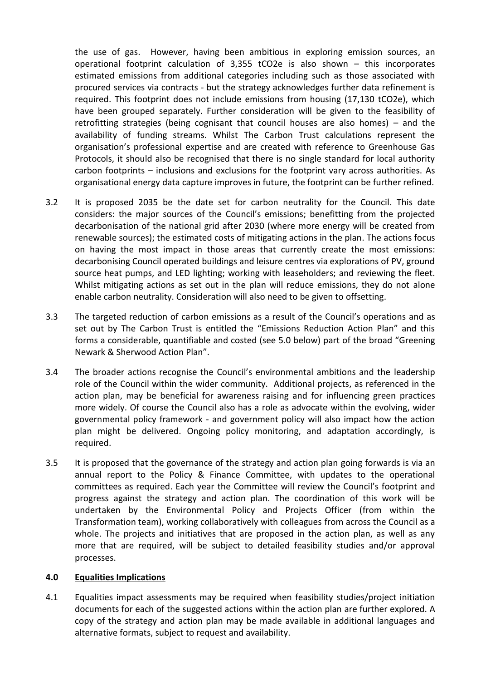the use of gas. However, having been ambitious in exploring emission sources, an operational footprint calculation of 3,355 tCO2e is also shown – this incorporates estimated emissions from additional categories including such as those associated with procured services via contracts - but the strategy acknowledges further data refinement is required. This footprint does not include emissions from housing (17,130 tCO2e), which have been grouped separately. Further consideration will be given to the feasibility of retrofitting strategies (being cognisant that council houses are also homes) – and the availability of funding streams. Whilst The Carbon Trust calculations represent the organisation's professional expertise and are created with reference to Greenhouse Gas Protocols, it should also be recognised that there is no single standard for local authority carbon footprints – inclusions and exclusions for the footprint vary across authorities. As organisational energy data capture improves in future, the footprint can be further refined.

- 3.2 It is proposed 2035 be the date set for carbon neutrality for the Council. This date considers: the major sources of the Council's emissions; benefitting from the projected decarbonisation of the national grid after 2030 (where more energy will be created from renewable sources); the estimated costs of mitigating actions in the plan. The actions focus on having the most impact in those areas that currently create the most emissions: decarbonising Council operated buildings and leisure centres via explorations of PV, ground source heat pumps, and LED lighting; working with leaseholders; and reviewing the fleet. Whilst mitigating actions as set out in the plan will reduce emissions, they do not alone enable carbon neutrality. Consideration will also need to be given to offsetting.
- 3.3 The targeted reduction of carbon emissions as a result of the Council's operations and as set out by The Carbon Trust is entitled the "Emissions Reduction Action Plan" and this forms a considerable, quantifiable and costed (see 5.0 below) part of the broad "Greening Newark & Sherwood Action Plan".
- 3.4 The broader actions recognise the Council's environmental ambitions and the leadership role of the Council within the wider community. Additional projects, as referenced in the action plan, may be beneficial for awareness raising and for influencing green practices more widely. Of course the Council also has a role as advocate within the evolving, wider governmental policy framework - and government policy will also impact how the action plan might be delivered. Ongoing policy monitoring, and adaptation accordingly, is required.
- 3.5 It is proposed that the governance of the strategy and action plan going forwards is via an annual report to the Policy & Finance Committee, with updates to the operational committees as required. Each year the Committee will review the Council's footprint and progress against the strategy and action plan. The coordination of this work will be undertaken by the Environmental Policy and Projects Officer (from within the Transformation team), working collaboratively with colleagues from across the Council as a whole. The projects and initiatives that are proposed in the action plan, as well as any more that are required, will be subject to detailed feasibility studies and/or approval processes.

## **4.0 Equalities Implications**

4.1 Equalities impact assessments may be required when feasibility studies/project initiation documents for each of the suggested actions within the action plan are further explored. A copy of the strategy and action plan may be made available in additional languages and alternative formats, subject to request and availability.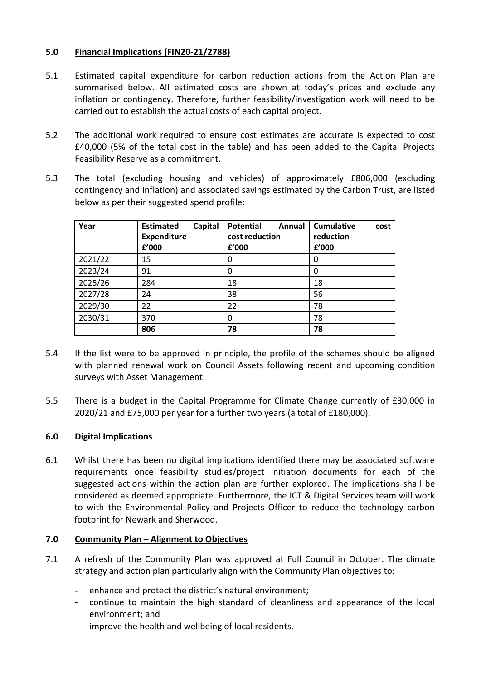# **5.0 Financial Implications (FIN20-21/2788)**

- 5.1 Estimated capital expenditure for carbon reduction actions from the Action Plan are summarised below. All estimated costs are shown at today's prices and exclude any inflation or contingency. Therefore, further feasibility/investigation work will need to be carried out to establish the actual costs of each capital project.
- 5.2 The additional work required to ensure cost estimates are accurate is expected to cost £40,000 (5% of the total cost in the table) and has been added to the Capital Projects Feasibility Reserve as a commitment.
- 5.3 The total (excluding housing and vehicles) of approximately £806,000 (excluding contingency and inflation) and associated savings estimated by the Carbon Trust, are listed below as per their suggested spend profile:

| Year    | Capital<br><b>Estimated</b><br><b>Expenditure</b><br>f'000 | <b>Potential</b><br>Annual<br>cost reduction<br>f'000 | <b>Cumulative</b><br>cost<br>reduction<br>f'000 |
|---------|------------------------------------------------------------|-------------------------------------------------------|-------------------------------------------------|
| 2021/22 | 15                                                         | 0                                                     | 0                                               |
| 2023/24 | 91                                                         | 0                                                     | 0                                               |
| 2025/26 | 284                                                        | 18                                                    | 18                                              |
| 2027/28 | 24                                                         | 38                                                    | 56                                              |
| 2029/30 | 22                                                         | 22                                                    | 78                                              |
| 2030/31 | 370                                                        | 0                                                     | 78                                              |
|         | 806                                                        | 78                                                    | 78                                              |

- 5.4 If the list were to be approved in principle, the profile of the schemes should be aligned with planned renewal work on Council Assets following recent and upcoming condition surveys with Asset Management.
- 5.5 There is a budget in the Capital Programme for Climate Change currently of £30,000 in 2020/21 and £75,000 per year for a further two years (a total of £180,000).

# **6.0 Digital Implications**

6.1 Whilst there has been no digital implications identified there may be associated software requirements once feasibility studies/project initiation documents for each of the suggested actions within the action plan are further explored. The implications shall be considered as deemed appropriate. Furthermore, the ICT & Digital Services team will work to with the Environmental Policy and Projects Officer to reduce the technology carbon footprint for Newark and Sherwood.

## **7.0 Community Plan – Alignment to Objectives**

- 7.1 A refresh of the Community Plan was approved at Full Council in October. The climate strategy and action plan particularly align with the Community Plan objectives to:
	- enhance and protect the district's natural environment;
	- continue to maintain the high standard of cleanliness and appearance of the local environment; and
	- improve the health and wellbeing of local residents.